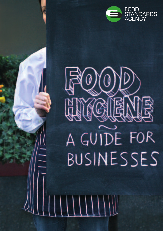



 $\mathcal{L}$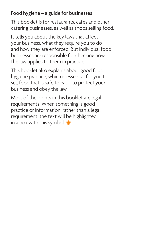# Food hygiene – a guide for businesses

This booklet is for restaurants, cafés and other catering businesses, as well as shops selling food.

It tells you about the key laws that affect your business, what they require you to do and how they are enforced. But individual food businesses are responsible for checking how the law applies to them in practice.

This booklet also explains about good food hygiene practice, which is essential for you to sell food that is safe to eat – to protect your business and obey the law.

Most of the points in this booklet are legal requirements. When something is good practice or information, rather than a legal requirement, the text will be highlighted in a box with this symbol: **✹**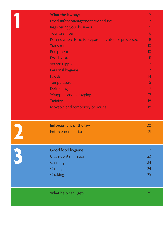| What the law says                                  | $\overline{2}$          |
|----------------------------------------------------|-------------------------|
| Food safety management procedures                  | $\overline{3}$          |
| <b>Registering your business</b>                   | 5                       |
| Your premises                                      | 6                       |
| Rooms where food is prepared, treated or processed | 8                       |
| <b>Transport</b>                                   | 10 <sup>°</sup>         |
| Equipment                                          | 10 <sup>°</sup>         |
| <b>Food waste</b>                                  | $\overline{\mathbf{1}}$ |
| Water supply                                       | 12                      |
| Personal hygiene                                   | 13                      |
| Foods                                              | 14                      |
| Temperature                                        | 15                      |
| Defrosting                                         | 17 <sup>2</sup>         |
| Wrapping and packaging                             | 17                      |
| <b>Training</b>                                    | 18                      |
| Movable and temporary premises                     | 18                      |
|                                                    |                         |
|                                                    |                         |
| <b>Enforcement of the law</b>                      | 20                      |
| <b>Enforcement action</b>                          | 21                      |
|                                                    |                         |
|                                                    |                         |
| Good food hygiene                                  | 22                      |
| Cross-contamination                                | 23                      |
| Cleaning                                           | 24                      |
| Chilling                                           | 24                      |
| Cooking                                            | 25                      |
|                                                    |                         |
|                                                    |                         |
|                                                    |                         |
| What help can I get?                               | 26                      |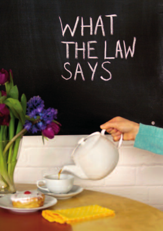# WHAT<br>THE LAW<br>SAYS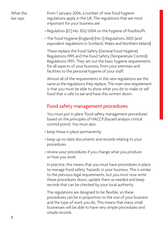From 1 January 2006, a number of new food hygiene regulations apply in the UK. The regulations that are most important for your business are:

- > Regulation (EC) No. 852/2004 on the hygiene of foodstuffs
- > The Food Hygiene (England) (No 2) Regulations 2005 (and equivalent regulations in Scotland, Wales and Northern Ireland)

These replace the Food Safety (General Food Hygiene) Regulations 1995 and the Food Safety (Temperature Control) Regulations 1995. They set out the basic hygiene requirements for all aspects of your business, from your premises and facilities to the personal hygiene of your staff.

Almost all of the requirements in the new regulations are the same as the regulations they replace. The main new requirement is that you must be able to show what you do to make or sell food that is safe to eat and have this written down.

#### Food safety management procedures

You must put in place 'food safety management procedures' based on the principles of HACCP (hazard analysis critical control point). You must also:

- > keep these in place permanently
- > keep up-to-date documents and records relating to your procedures
- > review your procedures if you change what you produce or how you work

In practice, this means that you must have procedures in place to manage food safety 'hazards' in your business. This is similar to the previous legal requirements, but you must now write these procedures down, update them as needed and keep records that can be checked by your local authority.

The regulations are designed to be flexible, so these procedures can be in proportion to the size of your business and the type of work you do. This means that many small businesses will be able to have very simple procedures and simple records.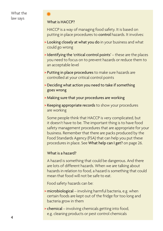#### What is HACCP?

**✹**

HACCP is a way of managing food safety. It is based on putting in place procedures to control hazards. It involves:

- > Looking closely at what you do in your business and what could go wrong
- > Identifying the 'critical control points' these are the places you need to focus on to prevent hazards or reduce them to an acceptable level
- > Putting in place procedures to make sure hazards are controlled at your critical control points
- > Deciding what action you need to take if something goes wrong
- > Making sure that your procedures are working
- > Keeping appropriate records to show your procedures are working

Some people think that HACCP is very complicated, but it doesn't have to be. The important thing is to have food safety management procedures that are appropriate for your business. Remember that there are packs produced by the Food Standards Agency (FSA) that can help you put these procedures in place. See What help can I get? on page 26.

#### What is a hazard?

A hazard is something that could be dangerous. And there are lots of different hazards. When we are talking about hazards in relation to food, a hazard is something that could mean that food will not be safe to eat.

Food safety hazards can be:

- > microbiological involving harmful bacteria, e.g. when certain foods are kept out of the fridge for too long and bacteria grow in them
- > chemical involving chemicals getting into food, e.g. cleaning products or pest control chemicals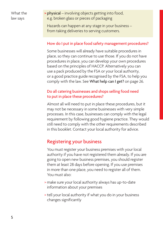> physical – involving objects getting into food, e.g. broken glass or pieces of packaging

Hazards can happen at any stage in your business – from taking deliveries to serving customers.

#### How do I put in place food safety management procedures?

Some businesses will already have suitable procedures in place, so they can continue to use those. If you do not have procedures in place, you can develop your own procedures based on the principles of HACCP. Alternatively you can use a pack produced by the FSA or your local authority, or a good practice guide recognised by the FSA, to help you comply with the law. See What help can I get? on page 26.

#### Do all catering businesses and shops selling food need to put in place these procedures?

Almost all will need to put in place these procedures, but it may not be necessary in some businesses with very simple processes. In this case, businesses can comply with the legal requirement by following good hygiene practice. They would still need to comply with the other requirements described in this booklet. Contact your local authority for advice.

# Registering your business

You must register your business premises with your local authority if you have not registered them already. If you are going to open new business premises, you should register them at least 28 days before opening. If you use premises in more than one place, you need to register all of them. You must also:

- > make sure your local authority always has up-to-date information about your premises
- > tell your local authority if what you do in your business changes significantly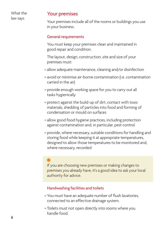#### Your premises

Your premises include all of the rooms or buildings you use in your business.

#### General requirements

You must keep your premises clean and maintained in good repair and condition.

The layout, design, construction, site and size of your premises must:

- > allow adequate maintenance, cleaning and/or disinfection
- > avoid or minimise air-borne contamination (i.e. contamination carried in the air)
- > provide enough working space for you to carry out all tasks hygienically
- > protect against the build-up of dirt, contact with toxic materials, shedding of particles into food and forming of condensation or mould on surfaces
- > allow good food hygiene practices, including protection against contamination and, in particular, pest control
- > provide, where necessary, suitable conditions for handling and storing food while keeping it at appropriate temperatures, designed to allow those temperatures to be monitored and, where necessary, recorded

# **✹**

If you are choosing new premises or making changes to premises you already have, it's a good idea to ask your local authority for advice.

#### Handwashing facilities and toilets

- > You must have an adequate number of flush lavatories, connected to an effective drainage system.
- > Toilets must not open directly into rooms where you handle food.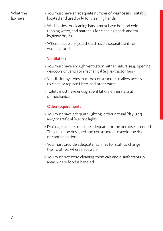- > You must have an adequate number of washbasins, suitably located and used only for cleaning hands.
- > Washbasins for cleaning hands must have hot and cold running water, and materials for cleaning hands and for hygienic drying.
- > Where necessary, you should have a separate sink for washing food.

#### Ventilation

- > You must have enough ventilation, either natural (e.g. opening windows or vents) or mechanical (e.g. extractor fans).
- > Ventilation systems must be constructed to allow access to clean or replace filters and other parts.
- > Toilets must have enough ventilation, either natural or mechanical.

#### Other requirements

- > You must have adequate lighting, either natural (daylight) and/or artificial (electric light).
- > Drainage facilities must be adequate for the purpose intended. They must be designed and constructed to avoid the risk of contamination.
- > You must provide adequate facilities for staff to change their clothes, where necessary.
- > You must not store cleaning chemicals and disinfectants in areas where food is handled.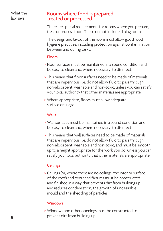#### Rooms where food is prepared, treated or processed

There are special requirements for rooms where you prepare, treat or process food. These do not include dining rooms.

The design and layout of the room must allow good food hygiene practices, including protection against contamination between and during tasks.

#### Floors

- > Floor surfaces must be maintained in a sound condition and be easy to clean and, where necessary, to disinfect.
- > This means that floor surfaces need to be made of materials that are impervious (i.e. do not allow fluid to pass through), non-absorbent, washable and non-toxic, unless you can satisfy your local authority that other materials are appropriate.
- > Where appropriate, floors must allow adequate surface drainage.

#### **Walls**

- > Wall surfaces must be maintained in a sound condition and be easy to clean and, where necessary, to disinfect.
- > This means that wall surfaces need to be made of materials that are impervious (i.e. do not allow fluid to pass through), non-absorbent, washable and non-toxic, and must be smooth up to a height appropriate for the work you do, unless you can satisfy your local authority that other materials are appropriate.

#### **Ceilings**

> Ceilings (or, where there are no ceilings, the interior surface of the roof) and overhead fixtures must be constructed and finished in a way that prevents dirt from building up and reduces condensation, the growth of undesirable mould and the shedding of particles.

#### **Windows**

> Windows and other openings must be constructed to prevent dirt from building up.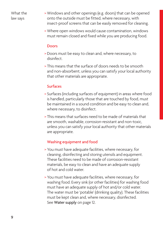- > Windows and other openings (e.g. doors) that can be opened onto the outside must be fitted, where necessary, with insect-proof screens that can be easily removed for cleaning.
- > Where open windows would cause contamination, windows must remain closed and fixed while you are producing food.

#### Doors

- > Doors must be easy to clean and, where necessary, to disinfect.
- > This means that the surface of doors needs to be smooth and non-absorbent, unless you can satisfy your local authority that other materials are appropriate.

#### Surfaces

- > Surfaces (including surfaces of equipment) in areas where food is handled, particularly those that are touched by food, must be maintained in a sound condition and be easy to clean and, where necessary, to disinfect.
- > This means that surfaces need to be made of materials that are smooth, washable, corrosion-resistant and non-toxic, unless you can satisfy your local authority that other materials are appropriate.

#### Washing equipment and food

- > You must have adequate facilities, where necessary, for cleaning, disinfecting and storing utensils and equipment. These facilities need to be made of corrosion-resistant materials, be easy to clean and have an adequate supply of hot and cold water.
- > You must have adequate facilities, where necessary, for washing food. Every sink (or other facilities) for washing food must have an adequate supply of hot and/or cold water. The water must be 'potable' (drinking quality). These facilities must be kept clean and, where necessary, disinfected. See Water supply on page 12.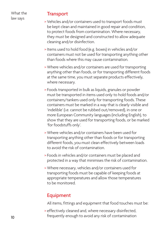#### **Transport**

- > Vehicles and/or containers used to transport foods must be kept clean and maintained in good repair and condition, to protect foods from contamination. Where necessary, they must be designed and constructed to allow adequate cleaning and/or disinfection.
- > Items used to hold food (e.g. boxes) in vehicles and/or containers must not be used for transporting anything other than foods where this may cause contamination.
- > Where vehicles and/or containers are used for transporting anything other than foods, or for transporting different foods at the same time, you must separate products effectively, where necessary.
- > Foods transported in bulk as liquids, granules or powder must be transported in items used only to hold foods and/or containers/tankers used only for transporting foods. These containers must be marked in a way that is clearly visible and 'indelible' (i.e. cannot be rubbed out/removed), in one or more European Community languages (including English), to show that they are used for transporting foods, or be marked 'for foodstuffs only'.
- > Where vehicles and/or containers have been used for transporting anything other than foods or for transporting different foods, you must clean effectively between loads to avoid the risk of contamination.
- > Foods in vehicles and/or containers must be placed and protected in a way that minimises the risk of contamination.
- > Where necessary, vehicles and/or containers used for transporting foods must be capable of keeping foods at appropriate temperatures and allow those temperatures to be monitored.

# Equipment

All items, fittings and equipment that food touches must be:

> effectively cleaned and, where necessary disinfected, frequently enough to avoid any risk of contamination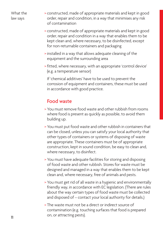- > constructed, made of appropriate materials and kept in good order, repair and condition, in a way that minimises any risk of contamination
- > constructed, made of appropriate materials and kept in good order, repair and condition in a way that enables them to be kept clean and, where necessary, to be disinfected, except for non-returnable containers and packaging
- > installed in a way that allows adequate cleaning of the equipment and the surrounding area
- > fitted, where necessary, with an appropriate 'control device' (e.g. a temperature sensor)

If 'chemical additives' have to be used to prevent the corrosion of equipment and containers, these must be used in accordance with good practice.

# Food waste

- > You must remove food waste and other rubbish from rooms where food is present as quickly as possible, to avoid them building up.
- > You must put food waste and other rubbish in containers that can be closed, unless you can satisfy your local authority that other types of containers or systems of disposing of waste are appropriate. These containers must be of appropriate construction, kept in sound condition, be easy to clean and, where necessary, to disinfect.
- > You must have adequate facilities for storing and disposing of food waste and other rubbish. Stores for waste must be designed and managed in a way that enables them to be kept clean and, where necessary, free of animals and pests.
- > You must get rid of all waste in a hygienic and environmentally friendly way, in accordance with EC legislation. (There are rules about the way certain types of food waste must be collected and disposed of – contact your local authority for details.)
- > The waste must not be a direct or indirect source of contamination (e.g. touching surfaces that food is prepared on, or attracting pests).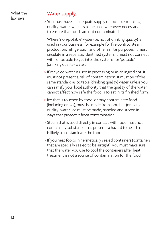# Water supply

- > You must have an adequate supply of 'potable' (drinking quality) water, which is to be used whenever necessary to ensure that foods are not contaminated.
- > Where 'non-potable' water (i.e. not of drinking quality) is used in your business, for example for fire control, steam production, refrigeration and other similar purposes, it must circulate in a separate, identified system. It must not connect with, or be able to get into, the systems for 'potable' (drinking quality) water.
- > If recycled water is used in processing or as an ingredient, it must not present a risk of contamination. It must be of the same standard as potable (drinking quality) water, unless you can satisfy your local authority that the quality of the water cannot affect how safe the food is to eat in its finished form.
- > Ice that is touched by food, or may contaminate food (including drinks), must be made from 'potable' (drinking quality) water. Ice must be made, handled and stored in ways that protect it from contamination.
- > Steam that is used directly in contact with food must not contain any substance that presents a hazard to health or is likely to contaminate the food.
- > If you heat foods in hermetically sealed containers (containers that are specially sealed to be airtight), you must make sure that the water you use to cool the containers after heat treatment is not a source of contamination for the food.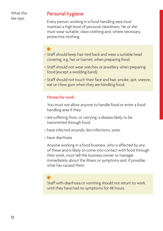#### Personal hygiene

Every person working in a food-handling area must maintain a high level of personal cleanliness. He or she must wear suitable, clean clothing and, where necessary, protective clothing.

# **✹**

- > Staff should keep hair tied back and wear a suitable head covering, e.g. hat or hairnet, when preparing food.
- > Staff should not wear watches or jewellery when preparing food (except a wedding band).
- > Staff should not touch their face and hair, smoke, spit, sneeze, eat or chew gum when they are handling food.

#### Fitness for work

You must not allow anyone to handle food or enter a food handling area if they:

- > are suffering from, or carrying, a disease likely to be transmitted through food
- > have infected wounds, skin infections, sores
- > have diarrhoea

Anyone working in a food business, who is affected by any of these and is likely to come into contact with food through their work, must tell the business owner or manager immediately about the illness or symptoms and, if possible, what has caused them.

# **✹**

Staff with diarrhoea or vomiting should not return to work until they have had no symptoms for 48 hours.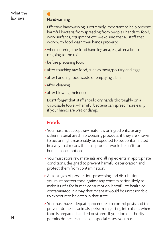#### Handwashing

**✹**

Effective handwashing is extremely important to help prevent harmful bacteria from spreading from people's hands to food, work surfaces, equipment etc. Make sure that all staff that work with food wash their hands properly:

- > when entering the food handling area, e.g. after a break or going to the toilet
- > before preparing food
- > after touching raw food, such as meat/poultry and eggs
- > after handling food waste or emptying a bin
- > after cleaning
- > after blowing their nose

Don't forget that staff should dry hands thoroughly on a disposable towel – harmful bacteria can spread more easily if your hands are wet or damp.

# Foods

- > You must not accept raw materials or ingredients, or any other material used in processing products, if they are known to be, or might reasonably be expected to be, contaminated in a way that means the final product would be unfit for human consumption.
- > You must store raw materials and all ingredients in appropriate conditions, designed to prevent harmful deterioration and protect them from contamination.
- > At all stages of production, processing and distribution, you must protect food against any contamination likely to make it unfit for human consumption, harmful to health or contaminated in a way that means it would be unreasonable to expect it to be eaten in that state.
- > You must have adequate procedures to control pests and to prevent domestic animals (pets) from getting into places where food is prepared, handled or stored. If your local authority permits domestic animals, in special cases, you must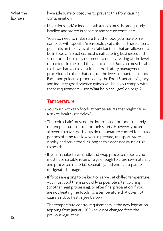have adequate procedures to prevent this from causing contamination.

> Hazardous and/or inedible substances must be adequately labelled and stored in separate and secure containers.

You also need to make sure that the food you make or sell complies with specific 'microbiological criteria'. These criteria put limits on the levels of certain bacteria that are allowed to be in foods. In practice, most small catering businesses and small food shops may not need to do any testing of the levels of bacteria in the food they make or sell. But you must be able to show that you have suitable food safety management procedures in place that control the levels of bacteria in food. Packs and guidance produced by the Food Standards Agency and industry good practice guides will help you comply with these requirements – see What help can I get? on page 26.

# **Temperature**

- > You must not keep foods at temperatures that might cause a risk to health (see below).
- > The 'cold chain' must not be interrupted for foods that rely on temperature control for their safety. However, you are allowed to have foods outside temperature control for limited periods of time to allow you to prepare, transport, store, display and serve food, as long as this does not cause a risk to health.
- > If you manufacture, handle and wrap processed foods, you must have suitable rooms, large enough to store raw materials and processed materials separately, and enough separate refrigerated storage.
- > If foods are going to be kept or served at chilled temperatures, you must cool them as quickly as possible after cooking (or other heat processing), or after final preparation if you are not heating the foods, to a temperature that does not cause a risk to health (see below).

The temperature control requirements in the new legislation applying from January 2006 have not changed from the previous legislation.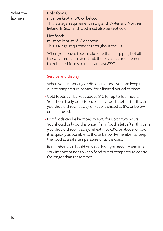#### Cold foods…

#### must be kept at 8°C or below.

This is a legal requirement in England, Wales and Northern Ireland. In Scotland food must also be kept cold.

#### Hot foods…

#### must be kept at 63°C or above.

This is a legal requirement throughout the UK.

When you reheat food, make sure that it is piping hot all the way through. In Scotland, there is a legal requirement for reheated foods to reach at least 82°C.

#### Service and display

When you are serving or displaying food, you can keep it out of temperature control for a limited period of time:

- > Cold foods can be kept above 8°C for up to four hours. You should only do this once. If any food is left after this time, you should throw it away or keep it chilled at 8°C or below until it is used.
- > Hot foods can be kept below 63°C for up to two hours. You should only do this once. If any food is left after this time, you should throw it away, reheat it to 63°C or above, or cool it as quickly as possible to 8°C or below. Remember to keep the food at a safe temperature until it is used.

Remember you should only do this if you need to and it is very important not to keep food out of temperature control for longer than these times.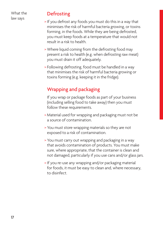## **Defrosting**

- > If you defrost any foods you must do this in a way that minimises the risk of harmful bacteria growing, or toxins forming, in the foods. While they are being defrosted, you must keep foods at a temperature that would not result in a risk to health.
- > Where liquid coming from the defrosting food may present a risk to health (e.g. when defrosting raw meat) you must drain it off adequately.
- > Following defrosting, food must be handled in a way that minimises the risk of harmful bacteria growing or toxins forming (e.g. keeping it in the fridge).

# Wrapping and packaging

If you wrap or package foods as part of your business (including selling food to take away) then you must follow these requirements.

- > Material used for wrapping and packaging must not be a source of contamination.
- > You must store wrapping materials so they are not exposed to a risk of contamination.
- > You must carry out wrapping and packaging in a way that avoids contamination of products. You must make sure, where appropriate, that the container is clean and not damaged, particularly if you use cans and/or glass jars.
- > If you re-use any wrapping and/or packaging material for foods, it must be easy to clean and, where necessary, to disinfect.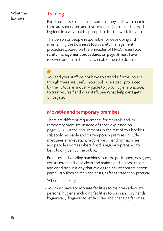#### **Training**

Food businesses must make sure that any staff who handle food are supervised and instructed and/or trained in food hygiene in a way that is appropriate for the work they do.

The person or people responsible for developing and maintaining the business's food safety management procedures, based on the principles of HACCP (see Food safety management procedures on page 3) must have received adequate training to enable them to do this.

# **✹**

You and your staff do not have to attend a formal course, though these are useful. You could use a pack produced by the FSA, or an industry guide to good hygiene practice, to train yourself and your staff. See What help can I get? on page 26.

## Movable and temporary premises

There are different requirements for movable and/or temporary premises, instead of those explained on pages 6-9. But the requirements in the rest of this booklet still apply. Movable and/or temporary premises include marquees, market stalls, mobile vans, vending machines and people's homes where food is regularly prepared to be sold or given to the public.

Premises and vending machines must be positioned, designed, constructed and kept clean and maintained in good repair and condition in a way that avoids the risk of contamination, particularly from animals and pests, as far as reasonably practical.

Where necessary:

> You must have appropriate facilities to maintain adequate personal hygiene, including facilities to wash and dry hands hygienically, hygienic toilet facilities and changing facilities.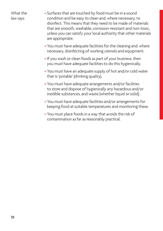- > Surfaces that are touched by food must be in a sound condition and be easy to clean and, where necessary, to disinfect. This means that they need to be made of materials that are smooth, washable, corrosion-resistant and non-toxic, unless you can satisfy your local authority that other materials are appropriate.
- > You must have adequate facilities for the cleaning and, where necessary, disinfecting of working utensils and equipment.
- > If you wash or clean foods as part of your business, then you must have adequate facilities to do this hygienically.
- > You must have an adequate supply of hot and/or cold water that is 'potable' (drinking quality).
- > You must have adequate arrangements and/or facilities to store and dispose of hygienically any hazardous and/or inedible substances, and waste (whether liquid or solid).
- > You must have adequate facilities and/or arrangements for keeping food at suitable temperatures and monitoring these.
- > You must place foods in a way that avoids the risk of contamination as far as reasonably practical.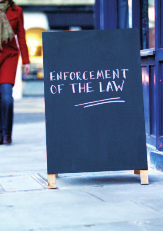# ENFORCEMENT<br>OF THE LAW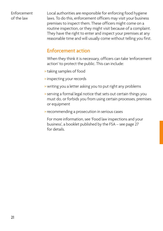Enforcement of the law

Local authorities are responsible for enforcing food hygiene laws. To do this, enforcement officers may visit your business premises to inspect them. These officers might come on a routine inspection, or they might visit because of a complaint. They have the right to enter and inspect your premises at any reasonable time and will usually come without telling you first.

## Enforcement action

When they think it is necessary, officers can take 'enforcement action' to protect the public. This can include:

- > taking samples of food
- > inspecting your records
- > writing you a letter asking you to put right any problems
- > serving a formal legal notice that sets out certain things you must do, or forbids you from using certain processes, premises or equipment
- > recommending a prosecution in serious cases

For more information, see 'Food law inspections and your business', a booklet published by the FSA – see page 27 for details.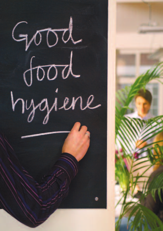Good food hygiene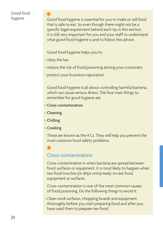#### Good food hygiene

Good food hygiene is essential for you to make or sell food that is safe to eat. So even though there might not be a specific legal requirement behind each tip in this section, it is still very important for you and your staff to understand what good food hygiene is and to follow this advice.

Good food hygiene helps you to:

> obey the law

**✹**

- > reduce the risk of food poisoning among your customers
- > protect your business's reputation

Good food hygiene is all about controlling harmful bacteria, which can cause serious illness. The four main things to remember for good hygiene are:

- > Cross-contamination
- > Cleaning
- > Chilling
- > Cooking

These are known as the 4 Cs. They will help you prevent the most common food safety problems.

# **✹**

#### Cross-contamination

Cross-contamination is when bacteria are spread between food, surfaces or equipment. It is most likely to happen when raw food touches (or drips onto) ready-to-eat food, equipment or surfaces.

Cross-contamination is one of the most common causes of food poisoning. Do the following things to avoid it:

> Clean work surfaces, chopping boards and equipment thoroughly before you start preparing food and after you have used them to prepare raw food.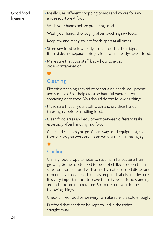#### Good food hygiene

- > Ideally, use different chopping boards and knives for raw and ready-to-eat food.
- > Wash your hands before preparing food.
- > Wash your hands thoroughly after touching raw food.
- > Keep raw and ready-to-eat foods apart at all times.
- > Store raw food below ready-to-eat food in the fridge. If possible, use separate fridges for raw and ready-to-eat food.
- > Make sure that your staff know how to avoid cross-contamination.

# **✹**

# **Cleaning**

Effective cleaning gets rid of bacteria on hands, equipment and surfaces. So it helps to stop harmful bacteria from spreading onto food. You should do the following things:

- > Make sure that all your staff wash and dry their hands thoroughly before handling food.
- > Clean food areas and equipment between different tasks, especially after handling raw food.
- > Clear and clean as you go. Clear away used equipment, spilt food etc. as you work and clean work surfaces thoroughly.

# **✹**

# Chilling

Chilling food properly helps to stop harmful bacteria from growing. Some foods need to be kept chilled to keep them safe, for example food with a 'use by' date, cooked dishes and other ready-to-eat food such as prepared salads and desserts. It is very important not to leave these types of food standing around at room temperature. So, make sure you do the following things:

- > Check chilled food on delivery to make sure it is cold enough.
- > Put food that needs to be kept chilled in the fridge straight away.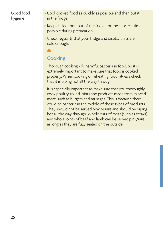#### Good food hygiene

- > Cool cooked food as quickly as possible and then put it in the fridge.
- > Keep chilled food out of the fridge for the shortest time possible during preparation.
- > Check regularly that your fridge and display units are cold enough.

# **✹**

# **Cooking**

Thorough cooking kills harmful bacteria in food. So it is extremely important to make sure that food is cooked properly. When cooking or reheating food, always check that it is piping hot all the way through.

It is especially important to make sure that you thoroughly cook poultry, rolled joints and products made from minced meat, such as burgers and sausages. This is because there could be bacteria in the middle of these types of products. They should not be served pink or rare and should be piping hot all the way through. Whole cuts of meat (such as steaks) and whole joints of beef and lamb can be served pink/rare as long as they are fully sealed on the outside.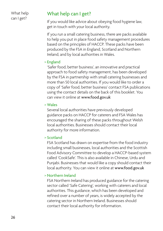What help can I get?

# What help can I get?

If you would like advice about obeying food hygiene law, get in touch with your local authority.

If you run a small catering business, there are packs available to help you put in place food safety management procedures based on the principles of HACCP. These packs have been produced by the FSA in England, Scotland and Northern Ireland, and by local authorities in Wales.

#### > England

'Safer food, better business', an innovative and practical approach to food safety management, has been developed by the FSA in partnership with small catering businesses and more than 50 local authorities. If you would like to order a copy of 'Safer food, better business' contact FSA publications using the contact details on the back of this booklet. You can view it online at www.food.gov.uk

#### > Wales

Several local authorities have previously developed guidance packs on HACCP for caterers and FSA Wales has encouraged the sharing of these packs throughout Welsh local authorities. Businesses should contact their local authority for more information.

#### > Scotland

FSA Scotland has drawn on expertise from the food industry including small businesses, local authorities and the Scottish Food Advisory Committee to develop a HACCP-based system called 'CookSafe'. This is also available in Chinese, Urdu and Punjabi. Businesses that would like a copy should contact their local authority. You can view it online at www.food.gov.uk

#### > Northern Ireland

FSA Northern Ireland has produced guidance for the catering sector called 'Safe Catering', working with caterers and local authorities. This guidance, which has been developed and refined over a number of years, is widely accepted by the catering sector in Northern Ireland. Businesses should contact their local authority for information.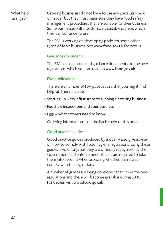What help can I get?

Catering businesses do not have to use any particular pack or model, but they must make sure they have food safety management procedures that are suitable for their business. Some businesses will already have a suitable system, which they can continue to use.

The FSA is working on developing packs for some other types of food business. See www.food.gov.uk for details.

#### Guidance documents

The FSA has also produced guidance documents on the new regulations, which you can read on www.food.gov.uk

#### FSA publications

There are a number of FSA publications that you might find helpful. These include:

- > Starting up Your first steps to running a catering business
- > Food law inspections and your business
- > Eggs what caterers need to know

Ordering information is on the back cover of this booklet.

#### Good practice guides

Good practice guides produced by industry also give advice on how to comply with food hygiene regulations. Using these guides is voluntary, but they are officially recognised by the Government and enforcement officers are required to take them into account when assessing whether businesses comply with the regulations.

A number of guides are being developed that cover the new regulations and these will become available during 2006. For details, visit www.food.gov.uk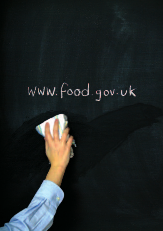# WWW. Food.gov.uk